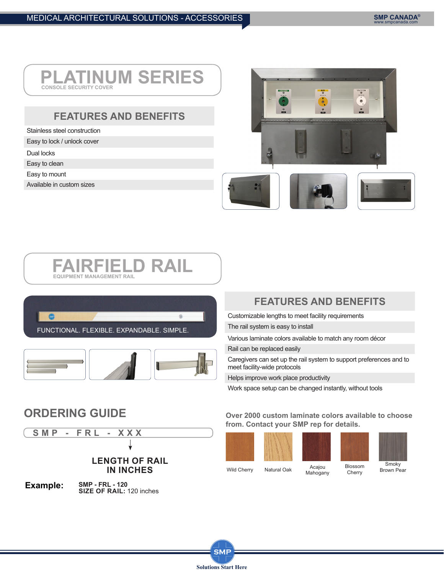### **PLATINUM SERIES CONSOLE SECURITY**

## **FEATURES AND BENEFITS**

Stainless steel construction

Easy to lock / unlock cover

- Dual locks
- Easy to clean
- Easy to mount

Available in custom sizes



### **FAIRFIELD RAIL EQUIPMENT MANAGEMENT RAIL**





# **FEATURES AND BENEFITS**

Customizable lengths to meet facility requirements

The rail system is easy to install

Various laminate colors available to match any room décor

Rail can be replaced easily

Caregivers can set up the rail system to support preferences and to meet facility-wide protocols

Helps improve work place productivity

Work space setup can be changed instantly, without tools

**Over 2000 custom laminate colors available to choose from. Contact your SMP rep for details.**







**Smoky** 

## **ORDERING GUIDE**

**SMP - FRL - XXX**

### **LENGTH OF RAIL IN INCHES**

**SMP - FRL - 120 Example:** SMP - FRL - 120<br>**SIZE OF RAIL:** 120 inches

> **SMP Solutions Start Here**

Acajou Mahogany Blossom **Cherry** Wild Cherry Natural Oak Acajou Diossonin<br>Cherry Brown Pear